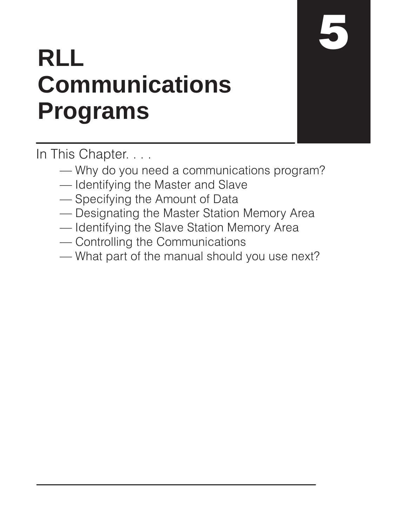# **RLL Communications Programs**

In This Chapter. . . .

- Why do you need a communications program?
- Identifying the Master and Slave
- Specifying the Amount of Data
- Designating the Master Station Memory Area
- Identifying the Slave Station Memory Area
- Controlling the Communications
- What part of the manual should you use next?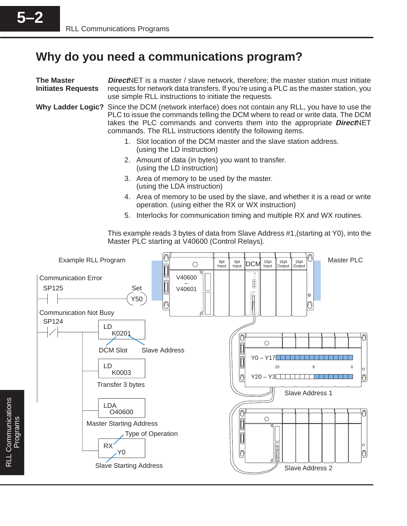# **Why do you need a communications program?**

| <b>The Master</b><br><b>Initiates Requests</b> | <b>Direct</b> NET is a master / slave network, therefore; the master station must initiate<br>requests for network data transfers. If you're using a PLC as the master station, you<br>use simple RLL instructions to initiate the requests. |                                                                                                                                                                                                                                                                       |  |
|------------------------------------------------|----------------------------------------------------------------------------------------------------------------------------------------------------------------------------------------------------------------------------------------------|-----------------------------------------------------------------------------------------------------------------------------------------------------------------------------------------------------------------------------------------------------------------------|--|
|                                                | commands. The RLL instructions identify the following items.                                                                                                                                                                                 | Why Ladder Logic? Since the DCM (network interface) does not contain any RLL, you have to use the<br>PLC to issue the commands telling the DCM where to read or write data. The DCM<br>takes the PLC commands and converts them into the appropriate <b>DirectNET</b> |  |
|                                                | (using the LD instruction)                                                                                                                                                                                                                   | 1. Slot location of the DCM master and the slave station address.                                                                                                                                                                                                     |  |
|                                                | 2. Amount of data (in bytes) you want to transfer.<br>(using the LD instruction)                                                                                                                                                             |                                                                                                                                                                                                                                                                       |  |
|                                                | 3. Area of memory to be used by the master.<br>(using the LDA instruction)                                                                                                                                                                   |                                                                                                                                                                                                                                                                       |  |
|                                                |                                                                                                                                                                                                                                              | 4. Area of memory to be used by the slave, and whether it is a read or write<br>operation. (using either the RX or WX instruction)                                                                                                                                    |  |
|                                                |                                                                                                                                                                                                                                              | 5. Interlocks for communication timing and multiple RX and WX routines.                                                                                                                                                                                               |  |
|                                                | Master PLC starting at V40600 (Control Relays).                                                                                                                                                                                              | This example reads 3 bytes of data from Slave Address #1, (starting at Y0), into the                                                                                                                                                                                  |  |
| Example RLL Program                            | $\bigcirc$                                                                                                                                                                                                                                   | Master PLC<br>16pt<br>Input<br>16pt<br>16pt<br>8pt<br>Input<br>8pt<br>Input<br><b>DCM</b><br>Output<br>Output<br>U                                                                                                                                                    |  |
| <b>Communication Error</b><br><b>SP125</b>     | V40600<br>Set<br>V40601<br>Y50<br>0                                                                                                                                                                                                          | $\circledcirc$<br>O<br>O                                                                                                                                                                                                                                              |  |
| <b>Communication Not Busy</b><br>SP124         | LD                                                                                                                                                                                                                                           |                                                                                                                                                                                                                                                                       |  |
|                                                | K0201<br><b>DCM Slot</b><br><b>Slave Address</b>                                                                                                                                                                                             | $\circ$                                                                                                                                                                                                                                                               |  |
|                                                | LD<br>K0003                                                                                                                                                                                                                                  | $Y0 - Y17$<br>8<br>15<br>0<br>$Y20 - Y3$                                                                                                                                                                                                                              |  |
|                                                | Transfer 3 bytes                                                                                                                                                                                                                             | 0<br>10<br>Slave Address 1                                                                                                                                                                                                                                            |  |
|                                                | <b>LDA</b><br>O40600<br><b>Master Starting Address</b><br>Type of Operation                                                                                                                                                                  | $\circ$                                                                                                                                                                                                                                                               |  |
|                                                | <b>RX</b><br>Y0                                                                                                                                                                                                                              | O<br>0                                                                                                                                                                                                                                                                |  |
|                                                | <b>Slave Starting Address</b>                                                                                                                                                                                                                | Slave Address 2                                                                                                                                                                                                                                                       |  |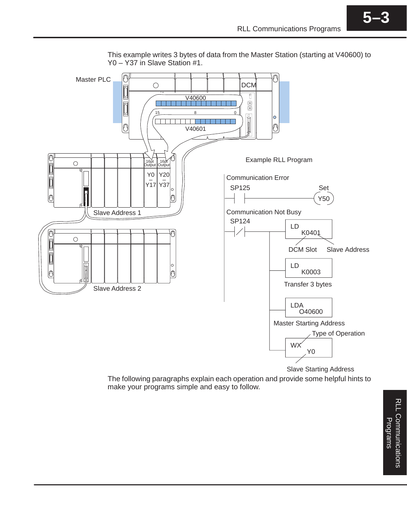

This example writes 3 bytes of data from the Master Station (starting at V40600) to Y0 – Y37 in Slave Station #1.

The following paragraphs explain each operation and provide some helpful hints to make your programs simple and easy to follow.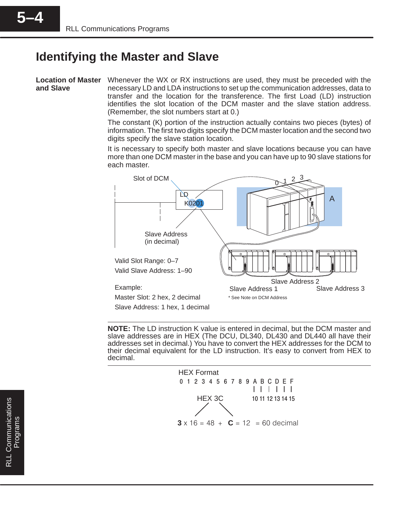# **Identifying the Master and Slave**

**and Slave**

Location of Master Whenever the WX or RX instructions are used, they must be preceded with the necessary LD and LDA instructions to set up the communication addresses, data to transfer and the location for the transference. The first Load (LD) instruction identifies the slot location of the DCM master and the slave station address. (Remember, the slot numbers start at 0.)

> The constant (K) portion of the instruction actually contains two pieces (bytes) of information. The first two digits specify the DCM master location and the second two digits specify the slave station location.

> It is necessary to specify both master and slave locations because you can have more than one DCM master in the base and you can have up to 90 slave stations for each master.



**NOTE:** The LD instruction K value is entered in decimal, but the DCM master and slave addresses are in HEX (The DCU, DL340, DL430 and DL440 all have their addresses set in decimal.) You have to convert the HEX addresses for the DCM to their decimal equivalent for the LD instruction. It's easy to convert from HEX to decimal.

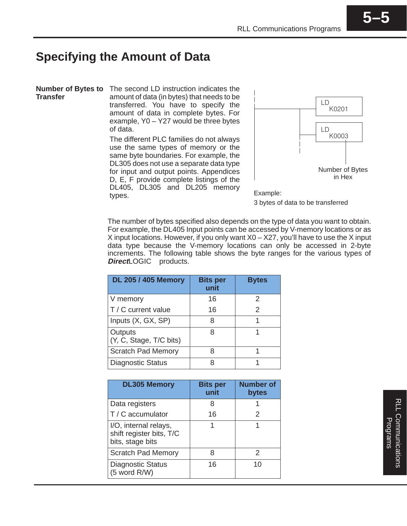# **Specifying the Amount of Data**

**Transfer**

**Number of Bytes to** The second LD instruction indicates the amount of data (in bytes) that needs to be transferred. You have to specify the amount of data in complete bytes. For example, Y0 – Y27 would be three bytes of data.

> The different PLC families do not always use the same types of memory or the same byte boundaries. For example, the DL305 does not use a separate data type for input and output points. Appendices D, E, F provide complete listings of the DL405, DL305 and DL205 memory Example:<br>types. Example:



3 bytes of data to be transferred

The number of bytes specified also depends on the type of data you want to obtain. For example, the DL405 Input points can be accessed by V-memory locations or as X input locations. However, if you only want X0 – X27, you'll have to use the X input data type because the V-memory locations can only be accessed in 2-byte increments. The following table shows the byte ranges for the various types of **Direct**LOGIC<sup>™</sup> products.

| <b>DL 205 / 405 Memory</b>         | <b>Bits per</b><br>unit | <b>Bytes</b>  |
|------------------------------------|-------------------------|---------------|
| V memory                           | 16                      | $\mathcal{P}$ |
| T / C current value                | 16                      |               |
| Inputs (X, GX, SP)                 | 8                       |               |
| Outputs<br>(Y, C, Stage, T/C bits) | 8                       |               |
| <b>Scratch Pad Memory</b>          | я                       |               |
| <b>Diagnostic Status</b>           |                         |               |

| <b>DL305 Memory</b>                                                   | <b>Bits per</b><br>unit | <b>Number of</b><br>bytes |
|-----------------------------------------------------------------------|-------------------------|---------------------------|
| Data registers                                                        | 8                       |                           |
| $T/C$ accumulator                                                     | 16                      | 2                         |
| I/O, internal relays,<br>shift register bits, T/C<br>bits, stage bits |                         |                           |
| <b>Scratch Pad Memory</b>                                             | 8                       | 2                         |
| <b>Diagnostic Status</b><br>(5 word R/W)                              | 16                      | 10                        |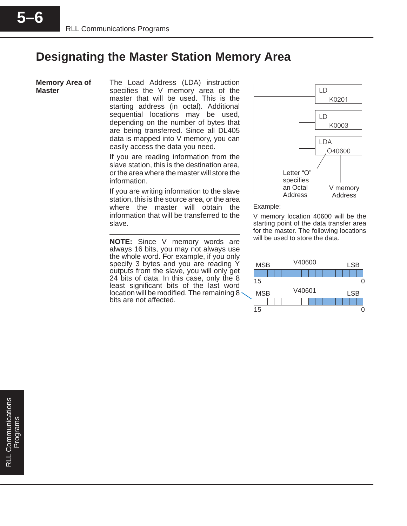### **Designating the Master Station Memory Area**

**Memory Area of Master**

**5–6**

The Load Address (LDA) instruction specifies the V memory area of the master that will be used. This is the starting address (in octal). Additional sequential locations may be used, depending on the number of bytes that are being transferred. Since all DL405 data is mapped into V memory, you can easily access the data you need.

If you are reading information from the slave station, this is the destination area, or the area where the master will store the information.

If you are writing information to the slave station, this is the source area, or the area where the master will obtain the information that will be transferred to the slave.

**NOTE:** Since V memory words are always 16 bits, you may not always use the whole word. For example, if you only specify 3 bytes and you are reading Y outputs from the slave, you will only get 24 bits of data. In this case, only the 8 least significant bits of the last word location will be modified. The remaining 8 bits are not affected.



Example:

V memory location 40600 will be the starting point of the data transfer area for the master. The following locations will be used to store the data.

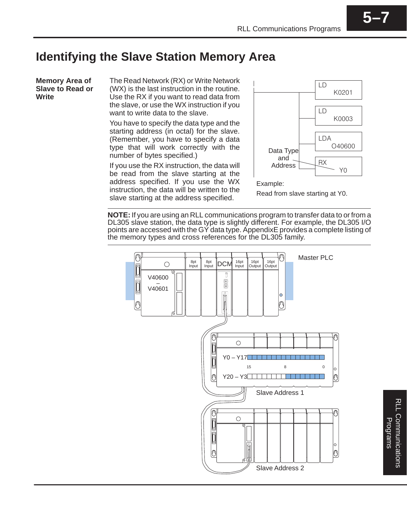# **Identifying the Slave Station Memory Area**

**Memory Area of Slave to Read or Write**

The Read Network (RX) or Write Network (WX) is the last instruction in the routine. Use the RX if you want to read data from the slave, or use the WX instruction if you want to write data to the slave.

You have to specify the data type and the starting address (in octal) for the slave. (Remember, you have to specify a data type that will work correctly with the number of bytes specified.)

If you use the RX instruction, the data will be read from the slave starting at the address specified. If you use the WX instruction, the data will be written to the slave starting at the address specified.



Read from slave starting at Y0.

**NOTE:** If you are using an RLL communications program to transfer data to or from a DL305 slave station, the data type is slightly different. For example, the DL305 I/O points are accessed with the GY data type. AppendixE provides a complete listing of the memory types and cross references for the DL305 family.

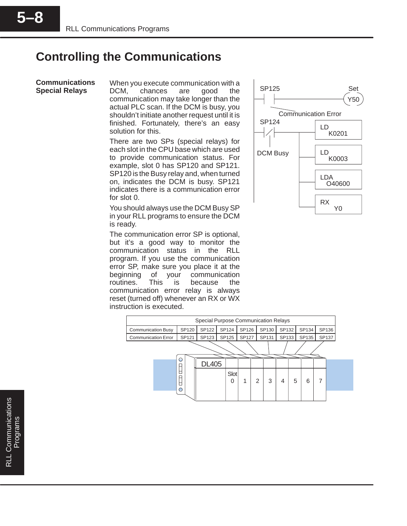## **Controlling the Communications**

#### **Communications Special Relays**

When you execute communication with a DCM, chances are good the communication may take longer than the actual PLC scan. If the DCM is busy, you shouldn't initiate another request until it is finished. Fortunately, there's an easy solution for this.

There are two SPs (special relays) for each slot in the CPU base which are used to provide communication status. For example, slot 0 has SP120 and SP121. SP120 is the Busy relay and, when turned on, indicates the DCM is busy. SP121 indicates there is a communication error for slot 0.

You should always use the DCM Busy SP in your RLL programs to ensure the DCM is ready.

The communication error SP is optional, but it's a good way to monitor the communication status in the RLL program. If you use the communication error SP, make sure you place it at the beginning of your communication routines. This is because the communication error relay is always reset (turned off) whenever an RX or WX instruction is executed.



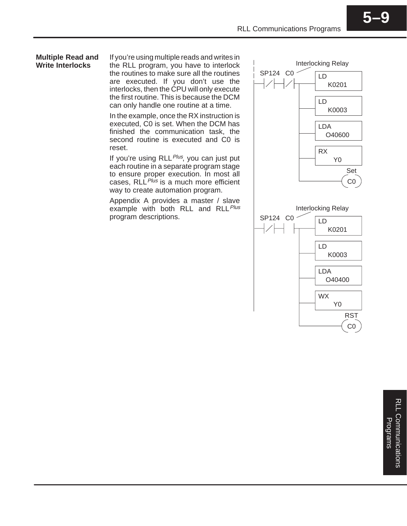#### **Multiple Read and Write Interlocks**

If you're using multiple reads and writes in the RLL program, you have to interlock the routines to make sure all the routines are executed. If you don't use the interlocks, then the CPU will only execute the first routine. This is because the DCM can only handle one routine at a time.

In the example, once the RX instruction is executed, C0 is set. When the DCM has finished the communication task, the second routine is executed and C0 is reset.

If you're using RLL Plus, you can just put each routine in a separate program stage to ensure proper execution. In most all cases,  $RLL<sup>Plus</sup>$  is a much more efficient way to create automation program.

Appendix A provides a master / slave example with both RLL and RLL Plus program descriptions.